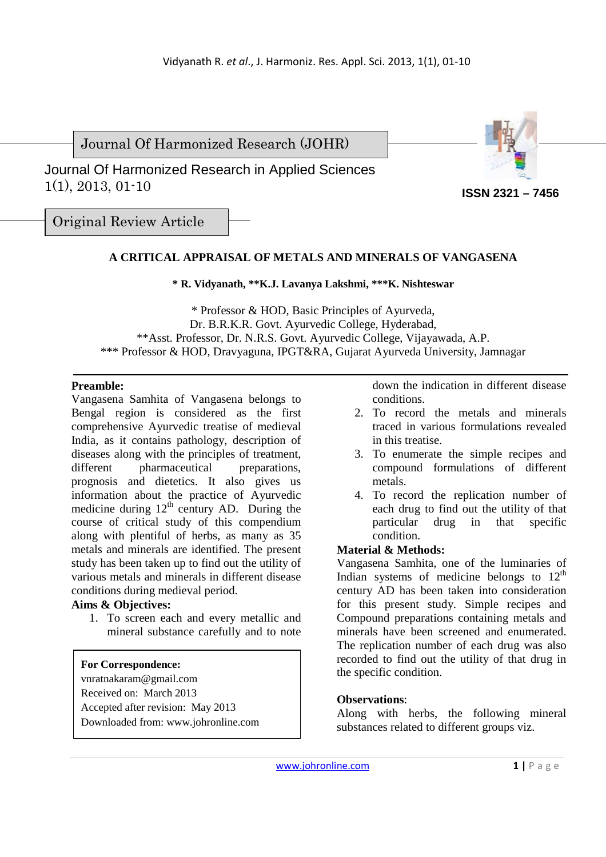Journal Of Harmonized Research (JOHR)





**ISSN 2321 – 7456**

Original Review Article

# **A CRITICAL APPRAISAL OF METALS AND MINERALS OF VANGASENA**

# **\* R. Vidyanath, \*\*K.J. Lavanya Lakshmi, \*\*\*K. Nishteswar**

\* Professor & HOD, Basic Principles of Ayurveda, Dr. B.R.K.R. Govt. Ayurvedic College, Hyderabad, \*\*Asst. Professor, Dr. N.R.S. Govt. Ayurvedic College, Vijayawada, A.P. \*\*\* Professor & HOD, Dravyaguna, IPGT&RA, Gujarat Ayurveda University, Jamnagar

# **Preamble:**

Vangasena Samhita of Vangasena belongs to Bengal region is considered as the first comprehensive Ayurvedic treatise of medieval India, as it contains pathology, description of diseases along with the principles of treatment, different pharmaceutical preparations, prognosis and dietetics. It also gives us information about the practice of Ayurvedic medicine during  $12<sup>th</sup>$  century AD. During the course of critical study of this compendium along with plentiful of herbs, as many as 35 metals and minerals are identified. The present study has been taken up to find out the utility of various metals and minerals in different disease conditions during medieval period.

# **Aims & Objectives:**

1. To screen each and every metallic and mineral substance carefully and to note

# **For Correspondence:**

- vnratnakaram@gmail.com
- Received on: March 2013
- Accepted after revision: May 2013
- Downloaded from: www.johronline.com

down the indication in different disease conditions.

- 2. To record the metals and minerals traced in various formulations revealed in this treatise.
- 3. To enumerate the simple recipes and compound formulations of different metals.
- 4. To record the replication number of each drug to find out the utility of that particular drug in that specific condition.

# **Material & Methods:**

Vangasena Samhita, one of the luminaries of Indian systems of medicine belongs to  $12<sup>th</sup>$ century AD has been taken into consideration for this present study. Simple recipes and Compound preparations containing metals and minerals have been screened and enumerated. The replication number of each drug was also recorded to find out the utility of that drug in the specific condition.

# **Observations**:

Along with herbs, the following mineral substances related to different groups viz.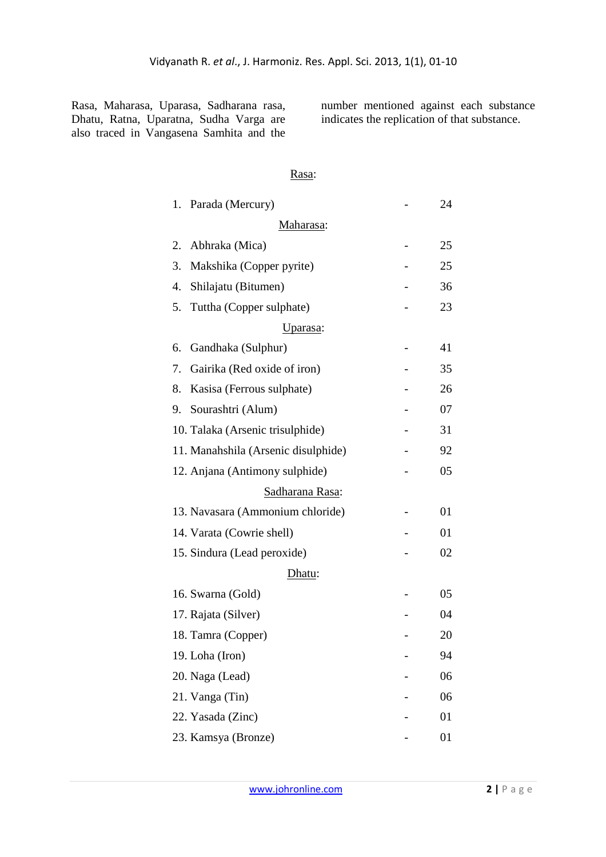Rasa, Maharasa, Uparasa, Sadharana rasa, Dhatu, Ratna, Uparatna, Sudha Varga are also traced in Vangasena Samhita and the number mentioned against each substance indicates the replication of that substance.

# Rasa:

| 1. | Parada (Mercury)                    | 24 |
|----|-------------------------------------|----|
|    | Maharasa:                           |    |
| 2. | Abhraka (Mica)                      | 25 |
| 3. | Makshika (Copper pyrite)            | 25 |
| 4. | Shilajatu (Bitumen)                 | 36 |
| 5. | Tuttha (Copper sulphate)            | 23 |
|    | Uparasa:                            |    |
| 6. | Gandhaka (Sulphur)                  | 41 |
| 7. | Gairika (Red oxide of iron)         | 35 |
| 8. | Kasisa (Ferrous sulphate)           | 26 |
| 9. | Sourashtri (Alum)                   | 07 |
|    | 10. Talaka (Arsenic trisulphide)    | 31 |
|    | 11. Manahshila (Arsenic disulphide) | 92 |
|    | 12. Anjana (Antimony sulphide)      | 05 |
|    | Sadharana Rasa:                     |    |
|    | 13. Navasara (Ammonium chloride)    | 01 |
|    | 14. Varata (Cowrie shell)           | 01 |
|    | 15. Sindura (Lead peroxide)         | 02 |
|    | Dhatu:                              |    |
|    | 16. Swarna (Gold)                   | 05 |
|    | 17. Rajata (Silver)                 | 04 |
|    | 18. Tamra (Copper)                  | 20 |
|    | 19. Loha (Iron)                     | 94 |
|    | 20. Naga (Lead)                     | 06 |
|    | 21. Vanga (Tin)                     | 06 |
|    | 22. Yasada (Zinc)                   | 01 |
|    | 23. Kamsya (Bronze)                 | 01 |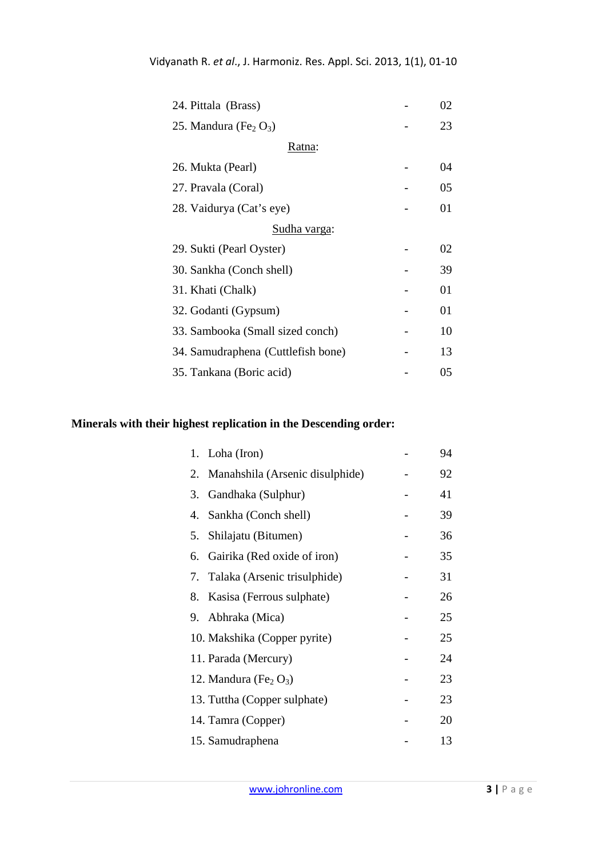| 24. Pittala (Brass)                  |  | 02 |  |  |  |
|--------------------------------------|--|----|--|--|--|
| 25. Mandura (Fe <sub>2</sub> $O_3$ ) |  | 23 |  |  |  |
| Ratna:                               |  |    |  |  |  |
| 26. Mukta (Pearl)                    |  | 04 |  |  |  |
| 27. Pravala (Coral)                  |  | 05 |  |  |  |
| 28. Vaidurya (Cat's eye)             |  | 01 |  |  |  |
| <u>Sudha varga:</u>                  |  |    |  |  |  |
| 29. Sukti (Pearl Oyster)             |  | 02 |  |  |  |
| 30. Sankha (Conch shell)             |  | 39 |  |  |  |
| 31. Khati (Chalk)                    |  | 01 |  |  |  |
| 32. Godanti (Gypsum)                 |  | 01 |  |  |  |
| 33. Sambooka (Small sized conch)     |  | 10 |  |  |  |
| 34. Samudraphena (Cuttlefish bone)   |  | 13 |  |  |  |
| 35. Tankana (Boric acid)             |  | 05 |  |  |  |

# **Minerals with their highest replication in the Descending order:**

| Loha (Iron)<br>1.                    | 94 |
|--------------------------------------|----|
| 2. Manahshila (Arsenic disulphide)   | 92 |
| 3. Gandhaka (Sulphur)                | 41 |
| Sankha (Conch shell)<br>4.           | 39 |
| Shilajatu (Bitumen)<br>5.            | 36 |
| Gairika (Red oxide of iron)<br>6.    | 35 |
| 7. Talaka (Arsenic trisulphide)      | 31 |
| Kasisa (Ferrous sulphate)<br>8.      | 26 |
| 9. Abhraka (Mica)                    | 25 |
| 10. Makshika (Copper pyrite)         | 25 |
| 11. Parada (Mercury)                 | 24 |
| 12. Mandura (Fe <sub>2</sub> $O_3$ ) | 23 |
| 13. Tuttha (Copper sulphate)         | 23 |
| 14. Tamra (Copper)                   | 20 |
| 15. Samudraphena                     | 13 |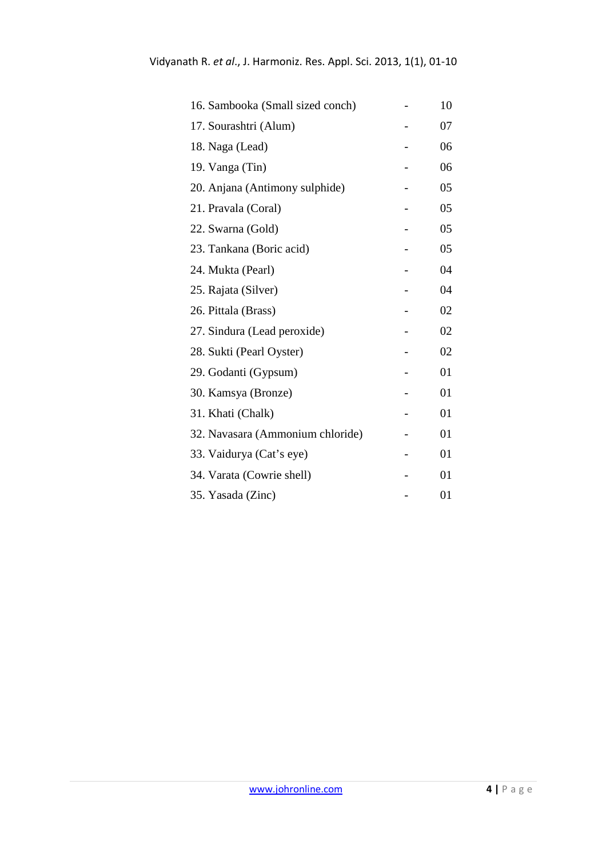| 16. Sambooka (Small sized conch) | 10 |
|----------------------------------|----|
| 17. Sourashtri (Alum)            | 07 |
| 18. Naga (Lead)                  | 06 |
| 19. Vanga (Tin)                  | 06 |
| 20. Anjana (Antimony sulphide)   | 05 |
| 21. Pravala (Coral)              | 05 |
| 22. Swarna (Gold)                | 05 |
| 23. Tankana (Boric acid)         | 05 |
| 24. Mukta (Pearl)                | 04 |
| 25. Rajata (Silver)              | 04 |
| 26. Pittala (Brass)              | 02 |
| 27. Sindura (Lead peroxide)      | 02 |
| 28. Sukti (Pearl Oyster)         | 02 |
| 29. Godanti (Gypsum)             | 01 |
| 30. Kamsya (Bronze)              | 01 |
| 31. Khati (Chalk)                | 01 |
| 32. Navasara (Ammonium chloride) | 01 |
| 33. Vaidurya (Cat's eye)         | 01 |
| 34. Varata (Cowrie shell)        | 01 |
| 35. Yasada (Zinc)                | 01 |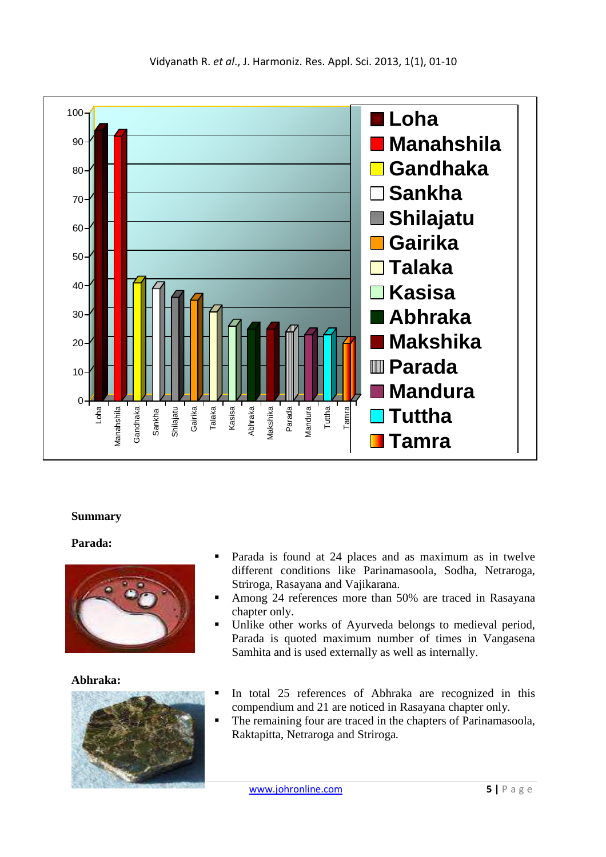

# **Summary**

# **Parada:**



# **Abhraka:**



- Parada is found at 24 places and as maximum as in twelve different conditions like Parinamasoola, Sodha, Netraroga, Striroga, Rasayana and Vajikarana.
- Among 24 references more than 50% are traced in Rasayana chapter only.
- Unlike other works of Ayurveda belongs to medieval period, Parada is quoted maximum number of times in Vangasena Samhita and is used externally as well as internally.
- In total 25 references of Abhraka are recognized in this compendium and 21 are noticed in Rasayana chapter only.
- The remaining four are traced in the chapters of Parinamasoola, Raktapitta, Netraroga and Striroga.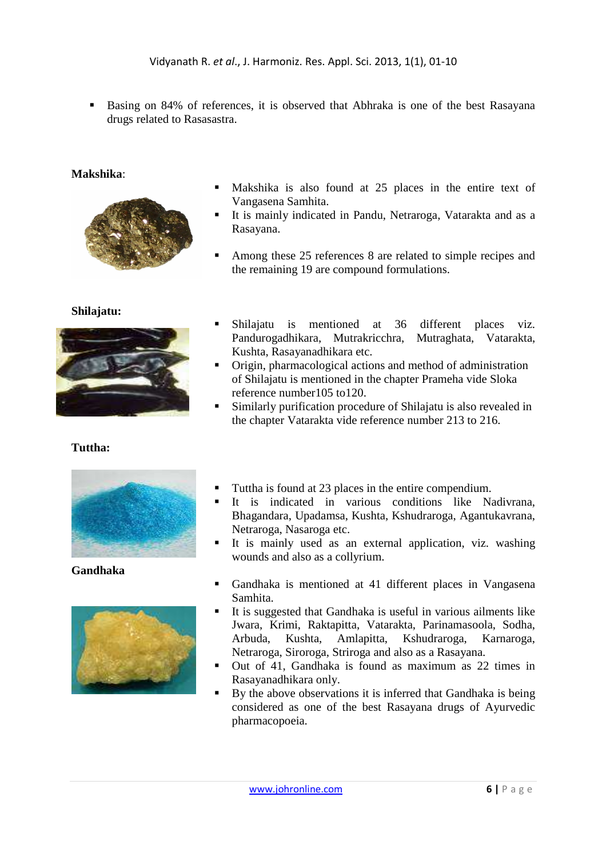Basing on 84% of references, it is observed that Abhraka is one of the best Rasayana drugs related to Rasasastra.

#### **Makshika**:



#### **Shilajatu:**



# **Tuttha:**



**Gandhaka** 



- Makshika is also found at 25 places in the entire text of Vangasena Samhita.
- It is mainly indicated in Pandu, Netraroga, Vatarakta and as a Rasayana.
- Among these 25 references 8 are related to simple recipes and the remaining 19 are compound formulations.
- Shilajatu is mentioned at 36 different places viz. Pandurogadhikara, Mutrakricchra, Mutraghata, Vatarakta, Kushta, Rasayanadhikara etc.
- Origin, pharmacological actions and method of administration of Shilajatu is mentioned in the chapter Prameha vide Sloka reference number105 to120.
- Similarly purification procedure of Shilajatu is also revealed in the chapter Vatarakta vide reference number 213 to 216.
- Tuttha is found at 23 places in the entire compendium.
- It is indicated in various conditions like Nadivrana, Bhagandara, Upadamsa, Kushta, Kshudraroga, Agantukavrana, Netraroga, Nasaroga etc.
- It is mainly used as an external application, viz. washing wounds and also as a collyrium.
- Gandhaka is mentioned at 41 different places in Vangasena Samhita.
- It is suggested that Gandhaka is useful in various ailments like Jwara, Krimi, Raktapitta, Vatarakta, Parinamasoola, Sodha, Arbuda, Kushta, Amlapitta, Kshudraroga, Karnaroga, Netraroga, Siroroga, Striroga and also as a Rasayana.
- Out of 41, Gandhaka is found as maximum as 22 times in Rasayanadhikara only.
- By the above observations it is inferred that Gandhaka is being considered as one of the best Rasayana drugs of Ayurvedic pharmacopoeia.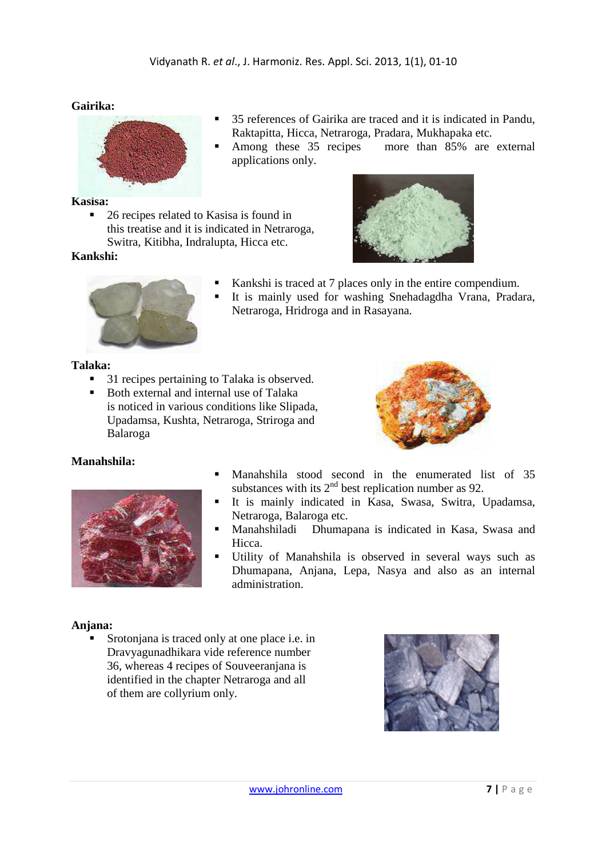# **Gairika:**



#### **Kasisa:**

■ 26 recipes related to Kasisa is found in this treatise and it is indicated in Netraroga, Switra, Kitibha, Indralupta, Hicca etc.

# **Kankshi:**

- 35 references of Gairika are traced and it is indicated in Pandu, Raktapitta, Hicca, Netraroga, Pradara, Mukhapaka etc.
- Among these 35 recipes more than 85% are external applications only.



- Kankshi is traced at 7 places only in the entire compendium.
- It is mainly used for washing Snehadagdha Vrana, Pradara, Netraroga, Hridroga and in Rasayana.



- 31 recipes pertaining to Talaka is observed.
- Both external and internal use of Talaka is noticed in various conditions like Slipada, Upadamsa, Kushta, Netraroga, Striroga and Balaroga



# **Manahshila:**



- Manahshila stood second in the enumerated list of 35 substances with its  $2<sup>nd</sup>$  best replication number as 92.
- It is mainly indicated in Kasa, Swasa, Switra, Upadamsa, Netraroga, Balaroga etc.
- Manahshiladi Dhumapana is indicated in Kasa, Swasa and Hicca.
- Utility of Manahshila is observed in several ways such as Dhumapana, Anjana, Lepa, Nasya and also as an internal administration.

# **Anjana:**

 Srotonjana is traced only at one place i.e. in Dravyagunadhikara vide reference number 36, whereas 4 recipes of Souveeranjana is identified in the chapter Netraroga and all of them are collyrium only.

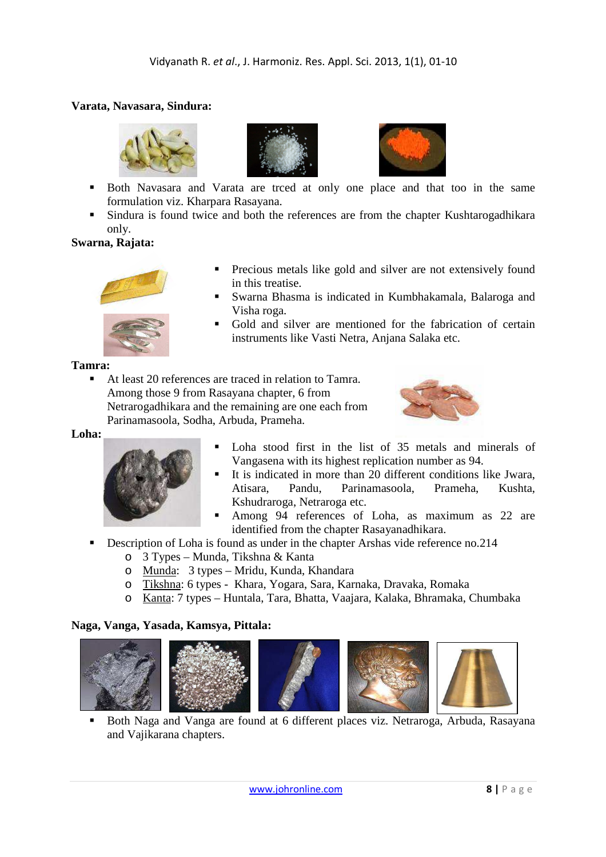# **Varata, Navasara, Sindura:**







- Both Navasara and Varata are trced at only one place and that too in the same formulation viz. Kharpara Rasayana.
- **Sindura is found twice and both the references are from the chapter Kushtarogadhikara** only.

# **Swarna, Rajata:**



- **Precious metals like gold and silver are not extensively found** in this treatise.
- Swarna Bhasma is indicated in Kumbhakamala, Balaroga and Visha roga.
- Gold and silver are mentioned for the fabrication of certain instruments like Vasti Netra, Anjana Salaka etc.

#### **Tamra:**

 At least 20 references are traced in relation to Tamra. Among those 9 from Rasayana chapter, 6 from Netrarogadhikara and the remaining are one each from Parinamasoola, Sodha, Arbuda, Prameha.



#### **Loha:**



- Loha stood first in the list of 35 metals and minerals of Vangasena with its highest replication number as 94.
- It is indicated in more than 20 different conditions like Jwara, Atisara, Pandu, Parinamasoola, Prameha, Kushta, Kshudraroga, Netraroga etc.
- Among 94 references of Loha, as maximum as 22 are identified from the chapter Rasayanadhikara.
- Description of Loha is found as under in the chapter Arshas vide reference no.214
	- o 3 Types Munda, Tikshna & Kanta
	- o Munda: 3 types Mridu, Kunda, Khandara
	- o Tikshna: 6 types Khara, Yogara, Sara, Karnaka, Dravaka, Romaka
	- o Kanta: 7 types Huntala, Tara, Bhatta, Vaajara, Kalaka, Bhramaka, Chumbaka

# **Naga, Vanga, Yasada, Kamsya, Pittala:**











 Both Naga and Vanga are found at 6 different places viz. Netraroga, Arbuda, Rasayana and Vajikarana chapters.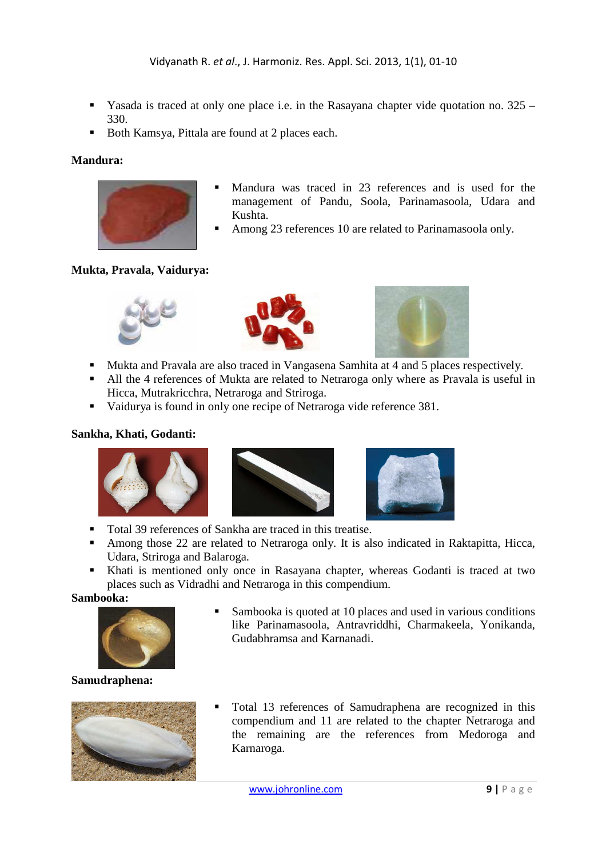- Yasada is traced at only one place i.e. in the Rasayana chapter vide quotation no.  $325 -$ 330.
- Both Kamsya, Pittala are found at 2 places each.

# **Mandura:**



- Mandura was traced in 23 references and is used for the management of Pandu, Soola, Parinamasoola, Udara and Kushta.
- Among 23 references 10 are related to Parinamasoola only.

# **Mukta, Pravala, Vaidurya:**





- Mukta and Pravala are also traced in Vangasena Samhita at 4 and 5 places respectively.
- All the 4 references of Mukta are related to Netraroga only where as Pravala is useful in Hicca, Mutrakricchra, Netraroga and Striroga.
- vaidurya is found in only one recipe of Netraroga vide reference 381.

# **Sankha, Khati, Godanti:**





- Total 39 references of Sankha are traced in this treatise.
- Among those 22 are related to Netraroga only. It is also indicated in Raktapitta, Hicca, Udara, Striroga and Balaroga.
- Khati is mentioned only once in Rasayana chapter, whereas Godanti is traced at two places such as Vidradhi and Netraroga in this compendium.

### **Sambooka:**



**Samudraphena:** 



Gudabhramsa and Karnanadi.

Sambooka is quoted at 10 places and used in various conditions like Parinamasoola, Antravriddhi, Charmakeela, Yonikanda,

 Total 13 references of Samudraphena are recognized in this compendium and 11 are related to the chapter Netraroga and the remaining are the references from Medoroga and Karnaroga.